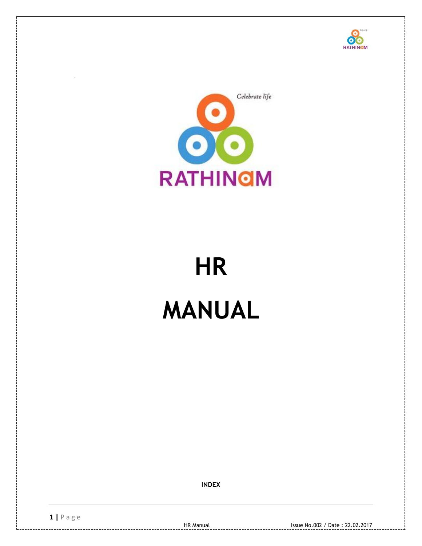



# **HR MANUAL**

**INDEX**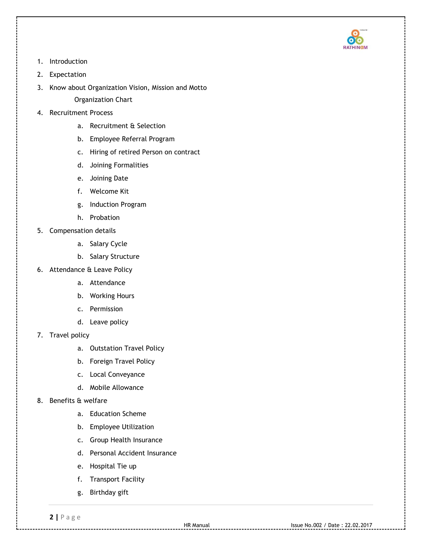

- 1. Introduction
- 2. Expectation
- 3. Know about Organization Vision, Mission and Motto Organization Chart
- 4. Recruitment Process
	- a. Recruitment & Selection
	- b. Employee Referral Program
	- c. Hiring of retired Person on contract
	- d. Joining Formalities
	- e. Joining Date
	- f. Welcome Kit
	- g. Induction Program
	- h. Probation
- 5. Compensation details
	- a. Salary Cycle
	- b. Salary Structure
- 6. Attendance & Leave Policy
	- a. Attendance
	- b. Working Hours
	- c. Permission
	- d. Leave policy
- 7. Travel policy
	- a. Outstation Travel Policy
	- b. Foreign Travel Policy
	- c. Local Conveyance
	- d. Mobile Allowance
- 8. Benefits & welfare
	- a. Education Scheme
	- b. Employee Utilization
	- c. Group Health Insurance
	- d. Personal Accident Insurance
	- e. Hospital Tie up
	- f. Transport Facility
	- g. Birthday gift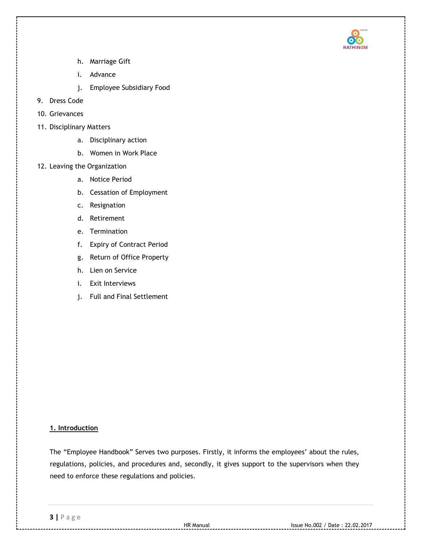

- h. Marriage Gift
- i. Advance
- j. Employee Subsidiary Food
- 9. Dress Code
- 10. Grievances
- 11. Disciplinary Matters
	- a. Disciplinary action
	- b. Women in Work Place
- 12. Leaving the Organization
	- a. Notice Period
	- b. Cessation of Employment
	- c. Resignation
	- d. Retirement
	- e. Termination
	- f. Expiry of Contract Period
	- g. Return of Office Property
	- h. Lien on Service
	- i. Exit Interviews
	- j. Full and Final Settlement

# **1. Introduction**

The "Employee Handbook" Serves two purposes. Firstly, it informs the employees' about the rules, regulations, policies, and procedures and, secondly, it gives support to the supervisors when they need to enforce these regulations and policies.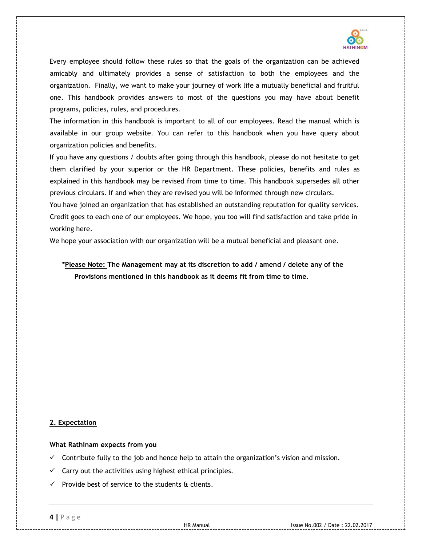

Every employee should follow these rules so that the goals of the organization can be achieved amicably and ultimately provides a sense of satisfaction to both the employees and the organization. Finally, we want to make your journey of work life a mutually beneficial and fruitful one. This handbook provides answers to most of the questions you may have about benefit programs, policies, rules, and procedures.

The information in this handbook is important to all of our employees. Read the manual which is available in our group website. You can refer to this handbook when you have query about organization policies and benefits.

If you have any questions / doubts after going through this handbook, please do not hesitate to get them clarified by your superior or the HR Department. These policies, benefits and rules as explained in this handbook may be revised from time to time. This handbook supersedes all other previous circulars. If and when they are revised you will be informed through new circulars.

You have joined an organization that has established an outstanding reputation for quality services. Credit goes to each one of our employees. We hope, you too will find satisfaction and take pride in working here.

We hope your association with our organization will be a mutual beneficial and pleasant one.

**\*Please Note: The Management may at its discretion to add / amend / delete any of the Provisions mentioned in this handbook as it deems fit from time to time.** 

## **2. Expectation**

**What Rathinam expects from you** 

- $\checkmark$  Contribute fully to the job and hence help to attain the organization's vision and mission.
- $\checkmark$  Carry out the activities using highest ethical principles.
- $\checkmark$  Provide best of service to the students & clients.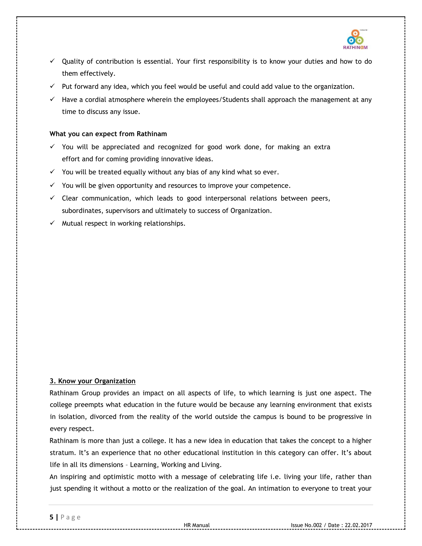

- $\checkmark$  Quality of contribution is essential. Your first responsibility is to know your duties and how to do them effectively.
- $\checkmark$  Put forward any idea, which you feel would be useful and could add value to the organization.
- $\checkmark$  Have a cordial atmosphere wherein the employees/Students shall approach the management at any time to discuss any issue.

## **What you can expect from Rathinam**

- $\checkmark$  You will be appreciated and recognized for good work done, for making an extra effort and for coming providing innovative ideas.
- $\checkmark$  You will be treated equally without any bias of any kind what so ever.
- $\checkmark$  You will be given opportunity and resources to improve your competence.
- $\checkmark$  Clear communication, which leads to good interpersonal relations between peers, subordinates, supervisors and ultimately to success of Organization.
- $\checkmark$  Mutual respect in working relationships.

# **3. Know your Organization**

Rathinam Group provides an impact on all aspects of life, to which learning is just one aspect. The college preempts what education in the future would be because any learning environment that exists in isolation, divorced from the reality of the world outside the campus is bound to be progressive in every respect.

Rathinam is more than just a college. It has a new idea in education that takes the concept to a higher stratum. It's an experience that no other educational institution in this category can offer. It's about life in all its dimensions – Learning, Working and Living.

An inspiring and optimistic motto with a message of celebrating life i.e. living your life, rather than just spending it without a motto or the realization of the goal. An intimation to everyone to treat your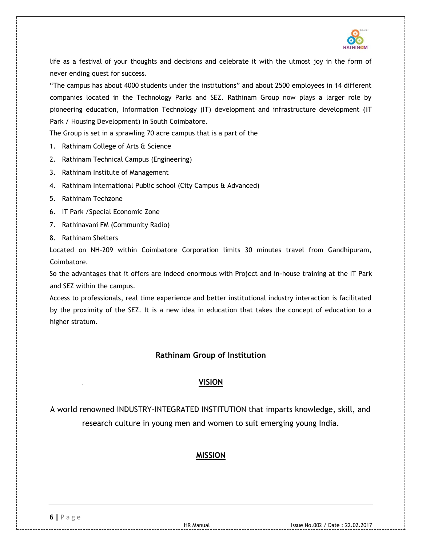

life as a festival of your thoughts and decisions and celebrate it with the utmost joy in the form of never ending quest for success.

"The campus has about 4000 students under the institutions" and about 2500 employees in 14 different companies located in the Technology Parks and SEZ. Rathinam Group now plays a larger role by pioneering education, Information Technology (IT) development and infrastructure development (IT Park / Housing Development) in South Coimbatore.

The Group is set in a sprawling 70 acre campus that is a part of the

- 1. Rathinam College of Arts & Science
- 2. Rathinam Technical Campus (Engineering)
- 3. Rathinam Institute of Management
- 4. Rathinam International Public school (City Campus & Advanced)
- 5. Rathinam Techzone
- 6. IT Park /Special Economic Zone
- 7. Rathinavani FM (Community Radio)
- 8. Rathinam Shelters

Located on NH-209 within Coimbatore Corporation limits 30 minutes travel from Gandhipuram, Coimbatore.

So the advantages that it offers are indeed enormous with Project and in-house training at the IT Park and SEZ within the campus.

Access to professionals, real time experience and better institutional industry interaction is facilitated by the proximity of the SEZ. It is a new idea in education that takes the concept of education to a higher stratum.

# **Rathinam Group of Institution**

# **VISION**

A world renowned INDUSTRY-INTEGRATED INSTITUTION that imparts knowledge, skill, and research culture in young men and women to suit emerging young India.

# **MISSION**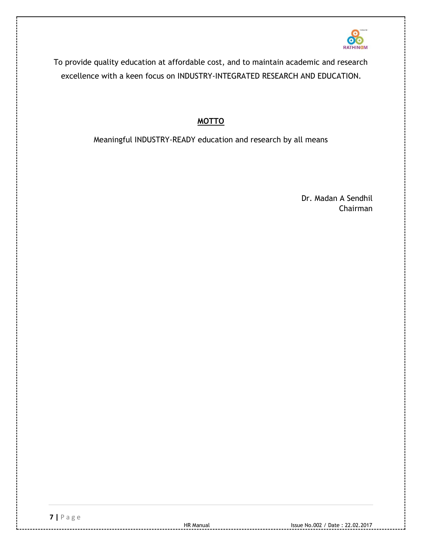

To provide quality education at affordable cost, and to maintain academic and research excellence with a keen focus on INDUSTRY-INTEGRATED RESEARCH AND EDUCATION.

# **MOTTO**

Meaningful INDUSTRY-READY education and research by all means

Dr. Madan A Sendhil Chairman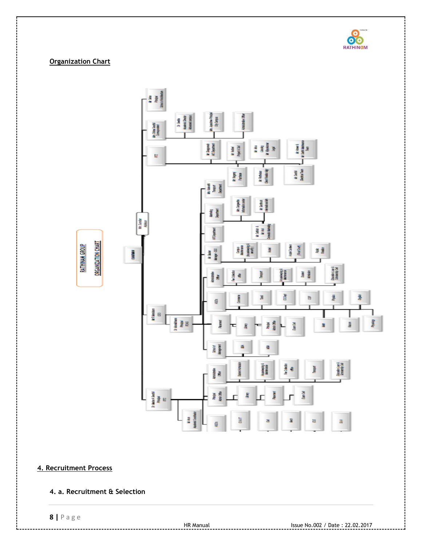

# **Organization Chart**

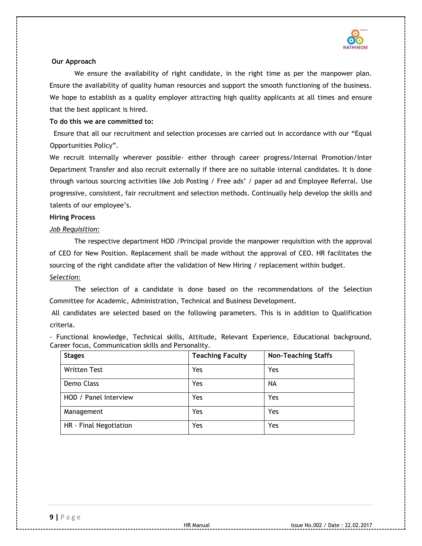

## **Our Approach**

We ensure the availability of right candidate, in the right time as per the manpower plan. Ensure the availability of quality human resources and support the smooth functioning of the business. We hope to establish as a quality employer attracting high quality applicants at all times and ensure that the best applicant is hired.

## **To do this we are committed to:**

 Ensure that all our recruitment and selection processes are carried out in accordance with our "Equal Opportunities Policy".

We recruit internally wherever possible- either through career progress/Internal Promotion/Inter Department Transfer and also recruit externally if there are no suitable internal candidates. It is done through various sourcing activities like Job Posting / Free ads' / paper ad and Employee Referral. Use progressive, consistent, fair recruitment and selection methods. Continually help develop the skills and talents of our employee's.

## **Hiring Process**

## *Job Requisition:*

The respective department HOD /Principal provide the manpower requisition with the approval of CEO for New Position. Replacement shall be made without the approval of CEO. HR facilitates the sourcing of the right candidate after the validation of New Hiring / replacement within budget. *Selection:*

The selection of a candidate is done based on the recommendations of the Selection Committee for Academic, Administration, Technical and Business Development.

All candidates are selected based on the following parameters. This is in addition to Qualification criteria.

- Functional knowledge, Technical skills, Attitude, Relevant Experience, Educational background, Career focus, Communication skills and Personality.

| <b>Stages</b>          | <b>Teaching Faculty</b> | <b>Non-Teaching Staffs</b> |
|------------------------|-------------------------|----------------------------|
| <b>Written Test</b>    | Yes                     | Yes                        |
| Demo Class             | Yes                     | NA                         |
| HOD / Panel Interview  | Yes                     | Yes                        |
| Management             | Yes                     | Yes                        |
| HR - Final Negotiation | Yes                     | Yes                        |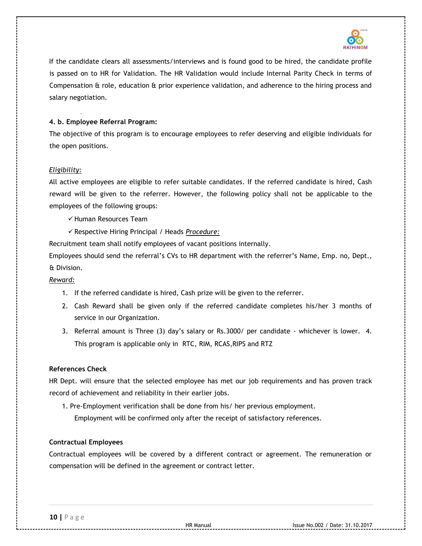

If the candidate clears all assessments/interviews and is found good to be hired, the candidate profile is passed on to HR for Validation. The HR Validation would include Internal Parity Check in terms of Compensation & role, education & prior experience validation, and adherence to the hiring process and salary negotiation.

## **4. b. Employee Referral Program:**

The objective of this program is to encourage employees to refer deserving and eligible individuals for the open positions.

## *Eligibility:*

All active employees are eligible to refer suitable candidates. If the referred candidate is hired, Cash reward will be given to the referrer. However, the following policy shall not be applicable to the employees of the following groups:

- $\checkmark$  Human Resources Team
- Respective Hiring Principal / Heads *Procedure:*

Recruitment team shall notify employees of vacant positions internally.

Employees should send the referral's CVs to HR department with the referrer's Name, Emp. no, Dept., & Division.

## *Reward:*

- 1. If the referred candidate is hired, Cash prize will be given to the referrer.
- 2. Cash Reward shall be given only if the referred candidate completes his/her 3 months of service in our Organization.
- 3. Referral amount is Three (3) day's salary or Rs.3000/ per candidate whichever is lower. 4. This program is applicable only in RTC, RIM, RCAS,RIPS and RTZ

## **References Check**

HR Dept. will ensure that the selected employee has met our job requirements and has proven track record of achievement and reliability in their earlier jobs.

- 1. Pre-Employment verification shall be done from his/ her previous employment.
	- Employment will be confirmed only after the receipt of satisfactory references.

## **Contractual Employees**

Contractual employees will be covered by a different contract or agreement. The remuneration or compensation will be defined in the agreement or contract letter.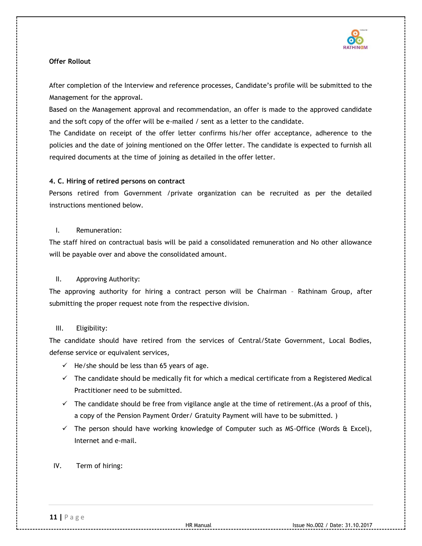

# **Offer Rollout**

After completion of the Interview and reference processes, Candidate's profile will be submitted to the Management for the approval.

Based on the Management approval and recommendation, an offer is made to the approved candidate and the soft copy of the offer will be e-mailed / sent as a letter to the candidate.

The Candidate on receipt of the offer letter confirms his/her offer acceptance, adherence to the policies and the date of joining mentioned on the Offer letter. The candidate is expected to furnish all required documents at the time of joining as detailed in the offer letter.

# **4. C. Hiring of retired persons on contract**

Persons retired from Government /private organization can be recruited as per the detailed instructions mentioned below.

# I. Remuneration:

The staff hired on contractual basis will be paid a consolidated remuneration and No other allowance will be payable over and above the consolidated amount.

# II. Approving Authority:

The approving authority for hiring a contract person will be Chairman – Rathinam Group, after submitting the proper request note from the respective division.

# III. Eligibility:

The candidate should have retired from the services of Central/State Government, Local Bodies, defense service or equivalent services,

- $\checkmark$  He/she should be less than 65 years of age.
- $\checkmark$  The candidate should be medically fit for which a medical certificate from a Registered Medical Practitioner need to be submitted.
- $\checkmark$  The candidate should be free from vigilance angle at the time of retirement. (As a proof of this, a copy of the Pension Payment Order/ Gratuity Payment will have to be submitted. )
- $\checkmark$  The person should have working knowledge of Computer such as MS-Office (Words & Excel), Internet and e-mail.

# IV. Term of hiring: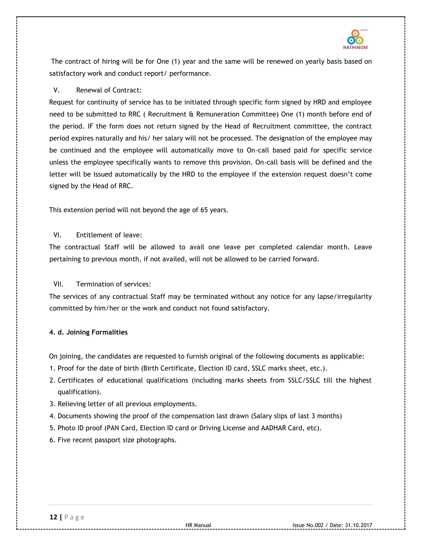

The contract of hiring will be for One (1) year and the same will be renewed on yearly basis based on satisfactory work and conduct report/ performance.

## V. Renewal of Contract:

Request for continuity of service has to be initiated through specific form signed by HRD and employee need to be submitted to RRC ( Recruitment & Remuneration Committee) One (1) month before end of the period. IF the form does not return signed by the Head of Recruitment committee, the contract period expires naturally and his/ her salary will not be processed. The designation of the employee may be continued and the employee will automatically move to On-call based paid for specific service unless the employee specifically wants to remove this provision. On-call basis will be defined and the letter will be issued automatically by the HRD to the employee if the extension request doesn't come signed by the Head of RRC.

This extension period will not beyond the age of 65 years.

# VI. Entitlement of leave:

The contractual Staff will be allowed to avail one leave per completed calendar month. Leave pertaining to previous month, if not availed, will not be allowed to be carried forward.

## VII. Termination of services:

The services of any contractual Staff may be terminated without any notice for any lapse/irregularity committed by him/her or the work and conduct not found satisfactory.

## **4. d. Joining Formalities**

On joining, the candidates are requested to furnish original of the following documents as applicable:

- 1. Proof for the date of birth (Birth Certificate, Election ID card, SSLC marks sheet, etc.).
- 2. Certificates of educational qualifications (including marks sheets from SSLC/SSLC till the highest qualification).
- 3. Relieving letter of all previous employments.
- 4. Documents showing the proof of the compensation last drawn (Salary slips of last 3 months)
- 5. Photo ID proof (PAN Card, Election ID card or Driving License and AADHAR Card, etc).
- 6. Five recent passport size photographs.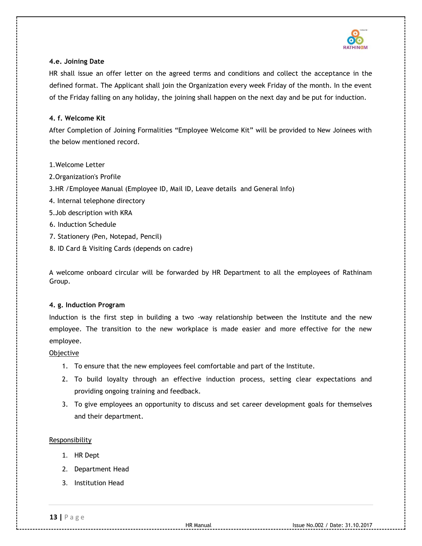

## **4.e. Joining Date**

HR shall issue an offer letter on the agreed terms and conditions and collect the acceptance in the defined format. The Applicant shall join the Organization every week Friday of the month. In the event of the Friday falling on any holiday, the joining shall happen on the next day and be put for induction.

## **4. f. Welcome Kit**

After Completion of Joining Formalities "Employee Welcome Kit" will be provided to New Joinees with the below mentioned record.

- 1.Welcome Letter
- 2.Organization's Profile
- 3.HR /Employee Manual (Employee ID, Mail ID, Leave details and General Info)
- 4. Internal telephone directory
- 5.Job description with KRA
- 6. Induction Schedule
- 7. Stationery (Pen, Notepad, Pencil)
- 8. ID Card & Visiting Cards (depends on cadre)

A welcome onboard circular will be forwarded by HR Department to all the employees of Rathinam Group.

## **4. g. Induction Program**

Induction is the first step in building a two -way relationship between the Institute and the new employee. The transition to the new workplace is made easier and more effective for the new employee.

## Objective

- 1. To ensure that the new employees feel comfortable and part of the Institute.
- 2. To build loyalty through an effective induction process, setting clear expectations and providing ongoing training and feedback.
- 3. To give employees an opportunity to discuss and set career development goals for themselves and their department.

# **Responsibility**

- 1. HR Dept
- 2. Department Head
- 3. Institution Head

**13 |** P a g e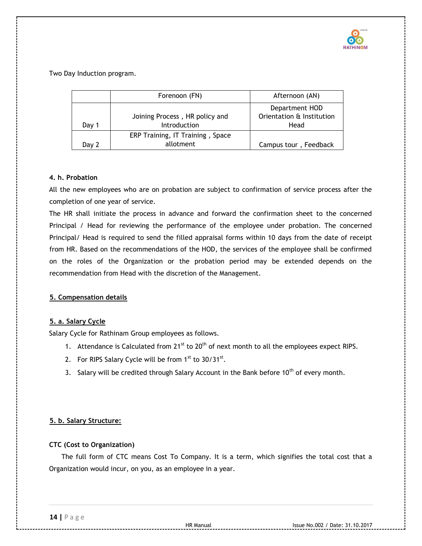

Two Day Induction program.

|         | Forenoon (FN)                                  | Afternoon (AN)                                      |
|---------|------------------------------------------------|-----------------------------------------------------|
| Day 1   | Joining Process, HR policy and<br>Introduction | Department HOD<br>Orientation & Institution<br>Head |
| Day $2$ | ERP Training, IT Training, Space<br>allotment  | Campus tour, Feedback                               |

## **4. h. Probation**

All the new employees who are on probation are subject to confirmation of service process after the completion of one year of service.

The HR shall initiate the process in advance and forward the confirmation sheet to the concerned Principal / Head for reviewing the performance of the employee under probation. The concerned Principal/ Head is required to send the filled appraisal forms within 10 days from the date of receipt from HR. Based on the recommendations of the HOD, the services of the employee shall be confirmed on the roles of the Organization or the probation period may be extended depends on the recommendation from Head with the discretion of the Management.

# **5. Compensation details**

# **5. a. Salary Cycle**

Salary Cycle for Rathinam Group employees as follows.

- 1. Attendance is Calculated from  $21^{st}$  to  $20^{th}$  of next month to all the employees expect RIPS.
- 2. For RIPS Salary Cycle will be from  $1<sup>st</sup>$  to  $30/31<sup>st</sup>$ .
- 3. Salary will be credited through Salary Account in the Bank before  $10<sup>th</sup>$  of every month.

# **5. b. Salary Structure:**

## **CTC (Cost to Organization)**

The full form of CTC means Cost To Company. It is a term, which signifies the total cost that a Organization would incur, on you, as an employee in a year.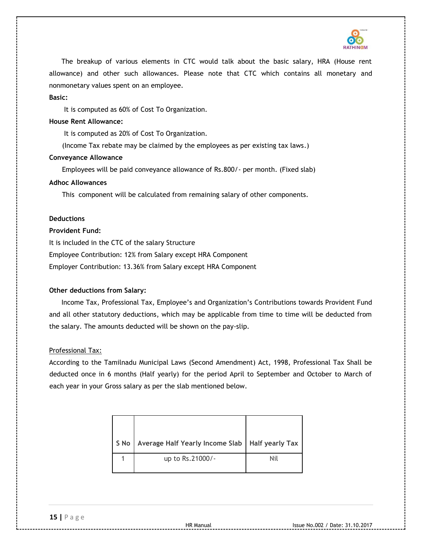

The breakup of various elements in CTC would talk about the basic salary, HRA (House rent allowance) and other such allowances. Please note that CTC which contains all monetary and nonmonetary values spent on an employee.

**Basic:** 

It is computed as 60% of Cost To Organization.

#### **House Rent Allowance:**

It is computed as 20% of Cost To Organization.

(Income Tax rebate may be claimed by the employees as per existing tax laws.)

#### **Conveyance Allowance**

Employees will be paid conveyance allowance of Rs.800/- per month. (Fixed slab)

#### **Adhoc Allowances**

This component will be calculated from remaining salary of other components.

#### **Deductions**

#### **Provident Fund:**

It is included in the CTC of the salary Structure Employee Contribution: 12% from Salary except HRA Component Employer Contribution: 13.36% from Salary except HRA Component

## **Other deductions from Salary:**

Income Tax, Professional Tax, Employee's and Organization's Contributions towards Provident Fund and all other statutory deductions, which may be applicable from time to time will be deducted from the salary. The amounts deducted will be shown on the pay-slip.

## Professional Tax:

According to the Tamilnadu Municipal Laws (Second Amendment) Act, 1998, Professional Tax Shall be deducted once in 6 months (Half yearly) for the period April to September and October to March of each year in your Gross salary as per the slab mentioned below.

| S No | Average Half Yearly Income Slab   Half yearly Tax |     |
|------|---------------------------------------------------|-----|
|      | up to Rs.21000/-                                  | Nil |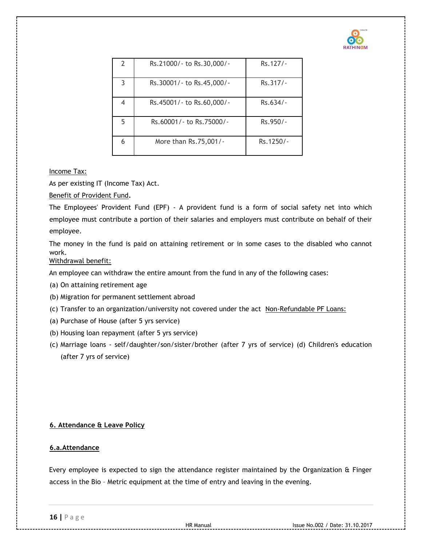

| 2 | Rs.21000/- to Rs.30,000/- | Rs. 127/-  |
|---|---------------------------|------------|
| 3 | Rs.30001/- to Rs.45,000/- | Rs.317/-   |
| 4 | Rs.45001/- to Rs.60,000/- | $Rs.634/-$ |
| 5 | Rs.60001/- to Rs.75000/-  | Rs.950/-   |
| 6 | More than Rs.75,001/-     | Rs.1250/-  |

## Income Tax:

As per existing IT (Income Tax) Act.

Benefit of Provident Fund**.** 

The [Employees' Provident Fund \(EPF\) -](http://www.epfindia.com/epfbrief.html) [A provident fund is a form of social safety net into which](http://www.epfindia.com/epfbrief.html)  [employee](http://www.epfindia.com/epfbrief.html) [must contribute a portion of their salaries and employers must contribute on behalf of their](http://www.epfindia.com/epfbrief.html)  [employee.](http://www.epfindia.com/epfbrief.html) 

[The money in the fund is paid on attaining retirement](http://www.epfindia.com/epfbrief.html) [or in some cases to the disabled who cannot](http://www.epfindia.com/epfbrief.html)  [work.](http://www.epfindia.com/epfbrief.html)

Withdrawal benefit:

An employee can withdraw the entire amount from the fund in any of the following cases:

- (a) On attaining retirement age
- (b) Migration for permanent settlement abroad
- (c) Transfer to an organization/university not covered under the act Non-Refundable PF Loans:
- (a) Purchase of House (after 5 yrs service)
- (b) Housing loan repayment (after 5 yrs service)
- (c) Marriage loans self/daughter/son/sister/brother (after 7 yrs of service) (d) Children's education (after 7 yrs of service)

# **6. Attendance & Leave Policy**

# **6.a.Attendance**

Every employee is expected to sign the attendance register maintained by the Organization & Finger access in the Bio – Metric equipment at the time of entry and leaving in the evening.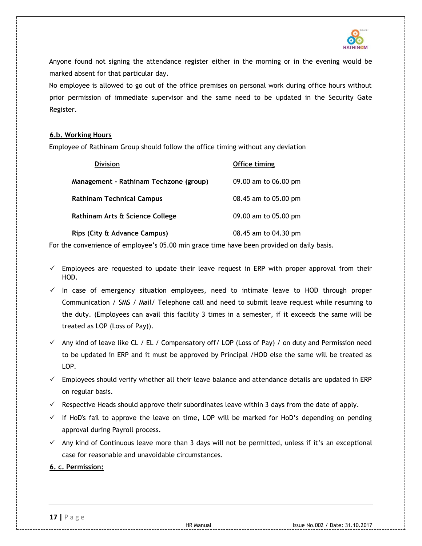

Anyone found not signing the attendance register either in the morning or in the evening would be marked absent for that particular day.

No employee is allowed to go out of the office premises on personal work during office hours without prior permission of immediate supervisor and the same need to be updated in the Security Gate Register.

## **6.b. Working Hours**

Employee of Rathinam Group should follow the office timing without any deviation

| <b>Division</b>                        | Office timing        |
|----------------------------------------|----------------------|
| Management - Rathinam Techzone (group) | 09.00 am to 06.00 pm |
| Rathinam Technical Campus              | 08.45 am to 05.00 pm |
| Rathinam Arts & Science College        | 09.00 am to 05.00 pm |
| Rips (City & Advance Campus)           | 08.45 am to 04.30 pm |

For the convenience of employee's 05.00 min grace time have been provided on daily basis.

- $\checkmark$  Employees are requested to update their leave request in ERP with proper approval from their HOD.
- $\checkmark$  In case of emergency situation employees, need to intimate leave to HOD through proper Communication / SMS / Mail/ Telephone call and need to submit leave request while resuming to the duty. (Employees can avail this facility 3 times in a semester, if it exceeds the same will be treated as LOP (Loss of Pay)).
- $\checkmark$  Any kind of leave like CL / EL / Compensatory off/ LOP (Loss of Pay) / on duty and Permission need to be updated in ERP and it must be approved by Principal /HOD else the same will be treated as LOP.
- $\checkmark$  Employees should verify whether all their leave balance and attendance details are updated in ERP on regular basis.
- $\checkmark$  Respective Heads should approve their subordinates leave within 3 days from the date of apply.
- $\checkmark$  If HoD's fail to approve the leave on time, LOP will be marked for HoD's depending on pending approval during Payroll process.
- $\checkmark$  Any kind of Continuous leave more than 3 days will not be permitted, unless if it's an exceptional case for reasonable and unavoidable circumstances.

## **6. c. Permission:**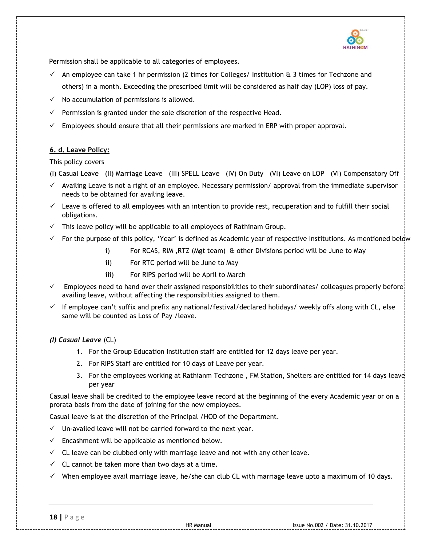

Permission shall be applicable to all categories of employees.

- $\checkmark$  An employee can take 1 hr permission (2 times for Colleges/ Institution & 3 times for Techzone and others) in a month. Exceeding the prescribed limit will be considered as half day (LOP) loss of pay.
- $\checkmark$  No accumulation of permissions is allowed.
- $\checkmark$  Permission is granted under the sole discretion of the respective Head.
- $\checkmark$  Employees should ensure that all their permissions are marked in ERP with proper approval.

## **6. d. Leave Policy:**

This policy covers

(I) Casual Leave (II) Marriage Leave (III) SPELL Leave (IV) On Duty (VI) Leave on LOP (VI) Compensatory Off

- $\checkmark$  Availing Leave is not a right of an employee. Necessary permission/approval from the immediate supervisor needs to be obtained for availing leave.
- $\checkmark$  Leave is offered to all employees with an intention to provide rest, recuperation and to fulfill their social obligations.
- $\checkmark$  This leave policy will be applicable to all employees of Rathinam Group.
- $\checkmark$  For the purpose of this policy, 'Year' is defined as Academic year of respective Institutions. As mentioned below
	- i) For RCAS, RIM ,RTZ (Mgt team) & other Divisions period will be June to May
	- ii) For RTC period will be June to May
	- iii) For RIPS period will be April to March
- $\checkmark$  Employees need to hand over their assigned responsibilities to their subordinates/ colleagues properly before: availing leave, without affecting the responsibilities assigned to them.
- $\checkmark$  If employee can't suffix and prefix any national/festival/declared holidays/ weekly offs along with CL, else same will be counted as Loss of Pay /leave.

# *(I) Casual Leave* (CL)

- 1. For the Group Education Institution staff are entitled for 12 days leave per year.
- 2. For RIPS Staff are entitled for 10 days of Leave per year.
- 3. For the employees working at Rathianm Techzone , FM Station, Shelters are entitled for 14 days leave per year

Casual leave shall be credited to the employee leave record at the beginning of the every Academic year or on a prorata basis from the date of joining for the new employees.

Casual leave is at the discretion of the Principal /HOD of the Department.

- $\checkmark$  Un-availed leave will not be carried forward to the next year.
- $\checkmark$  Encashment will be applicable as mentioned below.
- $\checkmark$  CL leave can be clubbed only with marriage leave and not with any other leave.
- $\checkmark$  CL cannot be taken more than two days at a time.
- $\checkmark$  When employee avail marriage leave, he/she can club CL with marriage leave upto a maximum of 10 days.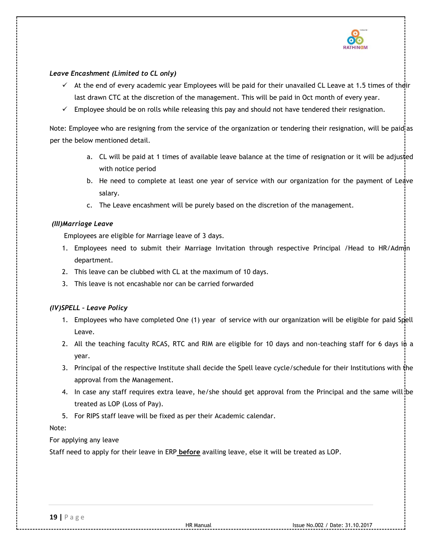

## *Leave Encashment (Limited to CL only)*

- $\checkmark$  At the end of every academic year Employees will be paid for their unavailed CL Leave at 1.5 times of their last drawn CTC at the discretion of the management. This will be paid in Oct month of every year.
- $\checkmark$  Employee should be on rolls while releasing this pay and should not have tendered their resignation.

Note: Employee who are resigning from the service of the organization or tendering their resignation, will be paid as per the below mentioned detail.

- a. CL will be paid at 1 times of available leave balance at the time of resignation or it will be adjusted with notice period
- b. He need to complete at least one year of service with our organization for the payment of Ledve salary.
- c. The Leave encashment will be purely based on the discretion of the management.

## *(III)Marriage Leave*

Employees are eligible for Marriage leave of 3 days.

- 1. Employees need to submit their Marriage Invitation through respective Principal /Head to HR/Admin department.
- 2. This leave can be clubbed with CL at the maximum of 10 days.
- 3. This leave is not encashable nor can be carried forwarded

## *(IV)SPELL – Leave Policy*

- 1. Employees who have completed One (1) year of service with our organization will be eligible for paid Spell Leave.
- 2. All the teaching faculty RCAS, RTC and RIM are eligible for 10 days and non-teaching staff for 6 days in a year.
- 3. Principal of the respective Institute shall decide the Spell leave cycle/schedule for their Institutions with the approval from the Management.
- 4. In case any staff requires extra leave, he/she should get approval from the Principal and the same will be treated as LOP (Loss of Pay).
- 5. For RIPS staff leave will be fixed as per their Academic calendar.

Note:

## For applying any leave

Staff need to apply for their leave in ERP **before** availing leave, else it will be treated as LOP.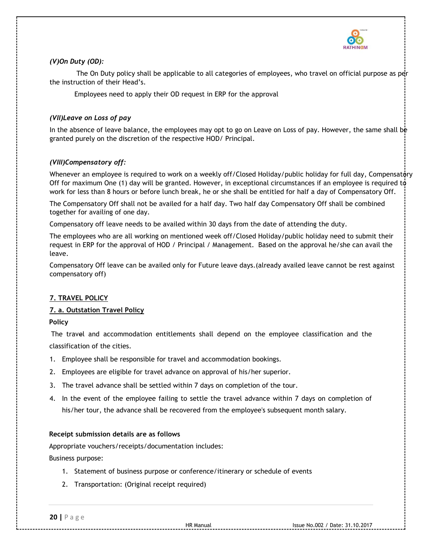

# *(V)On Duty (OD):*

The On Duty policy shall be applicable to all categories of employees, who travel on official purpose as per the instruction of their Head's.

Employees need to apply their OD request in ERP for the approval

# *(VII)Leave on Loss of pay*

In the absence of leave balance, the employees may opt to go on Leave on Loss of pay. However, the same shall be granted purely on the discretion of the respective HOD/ Principal.

# *(VIII)Compensatory off:*

Whenever an employee is required to work on a weekly off/Closed Holiday/public holiday for full day, Compensatory Off for maximum One (1) day will be granted. However, in exceptional circumstances if an employee is required to work for less than 8 hours or before lunch break, he or she shall be entitled for half a day of Compensatory Off.

The Compensatory Off shall not be availed for a half day. Two half day Compensatory Off shall be combined together for availing of one day.

Compensatory off leave needs to be availed within 30 days from the date of attending the duty.

The employees who are all working on mentioned week off/Closed Holiday/public holiday need to submit their request in ERP for the approval of HOD / Principal / Management. Based on the approval he/she can avail the leave.

Compensatory Off leave can be availed only for Future leave days.(already availed leave cannot be rest against compensatory off)

# **7. TRAVEL POLICY**

# **7. a. Outstation Travel Policy**

# **Policy**

The travel and accommodation entitlements shall depend on the employee classification and the classification of the cities.

- 1. Employee shall be responsible for travel and accommodation bookings.
- 2. Employees are eligible for travel advance on approval of his/her superior.
- 3. The travel advance shall be settled within 7 days on completion of the tour.
- 4. In the event of the employee failing to settle the travel advance within 7 days on completion of his/her tour, the advance shall be recovered from the employee's subsequent month salary.

## **Receipt submission details are as follows**

Appropriate vouchers/receipts/documentation includes:

Business purpose:

- 1. Statement of business purpose or conference/itinerary or schedule of events
- 2. Transportation: (Original receipt required)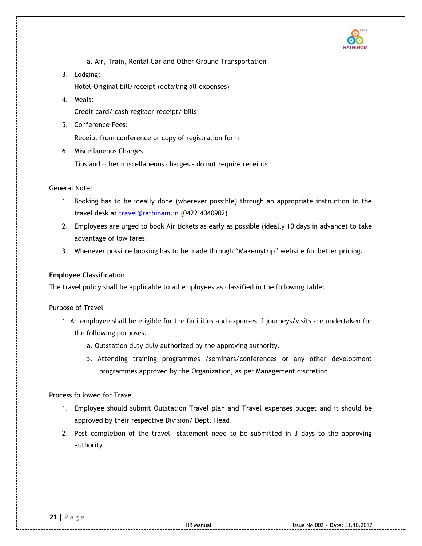

a. Air, Train, Rental Car and Other Ground Transportation

- 3. Lodging: Hotel-Original bill/receipt (detailing all expenses)
- 4. Meals:

Credit card/ cash register receipt/ bills

5. Conference Fees:

Receipt from conference or copy of registration form

6. Miscellaneous Charges:

Tips and other miscellaneous charges - do not require receipts

General Note:

- 1. Booking has to be ideally done (wherever possible) through an appropriate instruction to the travel desk at travel@rathinam.in (0422 4040902)
- 2. Employees are urged to book Air tickets as early as possible (ideally 10 days in advance) to take advantage of low fares.
- 3. Whenever possible booking has to be made through "Makemytrip" website for better pricing.

## **Employee Classification**

The travel policy shall be applicable to all employees as classified in the following table:

## Purpose of Travel

- 1. An employee shall be eligible for the facilities and expenses if journeys/visits are undertaken for the following purposes.
	- a. Outstation duty duly authorized by the approving authority.
	- b. Attending training programmes /seminars/conferences or any other development programmes approved by the Organization, as per Management discretion.

Process followed for Travel

- 1. Employee should submit Outstation Travel plan and Travel expenses budget and it should be approved by their respective Division/ Dept. Head.
- 2. Post completion of the travel statement need to be submitted in 3 days to the approving authority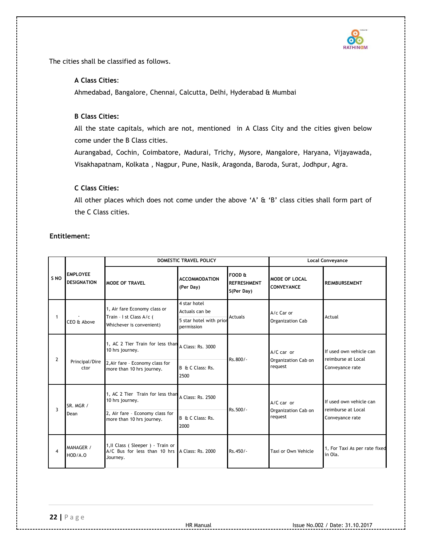

The cities shall be classified as follows.

## **A Class Cities**:

Ahmedabad, Bangalore, Chennai, Calcutta, Delhi, Hyderabad & Mumbai

# **B Class Cities:**

All the state capitals, which are not, mentioned in A Class City and the cities given below come under the B Class cities.

Aurangabad, Cochin, Coimbatore, Madurai, Trichy, Mysore, Mangalore, Haryana, Vijayawada, Visakhapatnam, Kolkata , Nagpur, Pune, Nasik, Aragonda, Baroda, Surat, Jodhpur, Agra.

# **C Class Cities:**

All other places which does not come under the above 'A' & 'B' class cities shall form part of the C Class cities.

# **Entitlement:**

|      |                                       | DOMESTIC TRAVEL POLICY                                                                                              |                                                                         | <b>Local Conveyance</b>                    |                                                |                                                                  |
|------|---------------------------------------|---------------------------------------------------------------------------------------------------------------------|-------------------------------------------------------------------------|--------------------------------------------|------------------------------------------------|------------------------------------------------------------------|
| S NO | <b>EMPLOYEE</b><br><b>DESIGNATION</b> | <b>MODE OF TRAVEL</b>                                                                                               | <b>ACCOMMODATION</b><br>(Per Day)                                       | FOOD &<br><b>REFRESHMENT</b><br>S(Per Day) | <b>MODE OF LOCAL</b><br><b>CONVEYANCE</b>      | <b>REIMBURSEMENT</b>                                             |
| 1    | CEO & Above                           | 1, Air fare Economy class or<br>Train - I st Class A/c (<br>Whichever is convenient)                                | 4 star hotel<br>Actuals can be<br>5 star hotel with prior<br>permission | Actuals                                    | A/c Car or<br>Organization Cab                 | Actual                                                           |
| 2    | Principal/Dire<br>ctor                | 1, AC 2 Tier Train for less than<br>10 hrs journey.<br>2, Air fare - Economy class for<br>more than 10 hrs journey. | A Class: Rs. 3000<br>B & C Class: Rs.<br>2500                           | Rs.800/-                                   | $A/C$ car or<br>Organization Cab on<br>request | If used own vehicle can<br>reimburse at Local<br>Conveyance rate |
| 3    | SR. MGR /<br>Dean                     | 1, AC 2 Tier Train for less than<br>10 hrs journey.<br>2, Air fare - Economy class for<br>more than 10 hrs journey. | A Class: Rs. 2500<br>B & C Class: Rs.<br>2000                           | Rs.500/-                                   | $A/C$ car or<br>Organization Cab on<br>request | If used own vehicle can<br>reimburse at Local<br>Conveyance rate |
| 4    | MANAGER /<br>HOD/A.O                  | 1, Il Class (Sleeper) - Train or<br>A/C Bus for less than 10 hrs A Class: Rs. 2000<br>Journey.                      |                                                                         | Rs.450/-                                   | Taxi or Own Vehicle                            | 1, For Taxi As per rate fixed<br>in Ola.                         |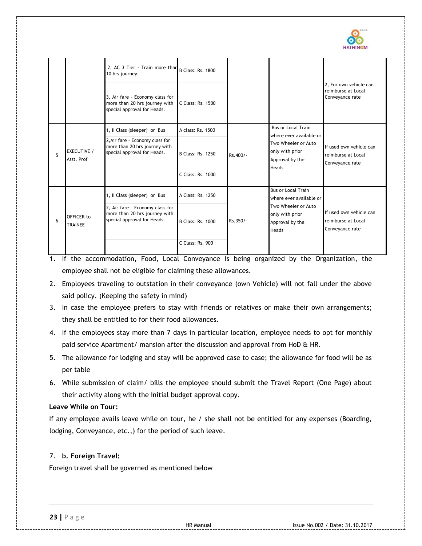

|   |                                  | 2, AC 3 Tier - Train more than<br>10 hrs journey.<br>3, Air fare - Economy class for<br>more than 20 hrs journey with<br>special approval for Heads. | B Class: Rs. 1800<br>C Class: Rs. 1500 |            |                                                                    | 2, For own vehicle can<br>reimburse at Local<br>Conveyance rate  |
|---|----------------------------------|------------------------------------------------------------------------------------------------------------------------------------------------------|----------------------------------------|------------|--------------------------------------------------------------------|------------------------------------------------------------------|
|   |                                  | 1, Il Class (sleeper) or Bus<br>2, Air fare - Economy class for                                                                                      | A class: Rs. 1500                      |            | <b>Bus or Local Train</b><br>where ever available or               |                                                                  |
| 5 | <b>EXECUTIVE /</b><br>Asst. Prof | more than 20 hrs journey with<br>special approval for Heads.                                                                                         | <b>B Class: Rs. 1250</b>               | Rs.400/-   | Two Wheeler or Auto<br>only with prior<br>Approval by the<br>Heads | If used own vehicle can<br>reimburse at Local<br>Conveyance rate |
|   |                                  |                                                                                                                                                      | C Class: Rs. 1000                      |            |                                                                    |                                                                  |
|   |                                  | 1, Il Class (sleeper) or Bus                                                                                                                         | A Class: Rs. 1250                      |            | <b>Bus or Local Train</b><br>where ever available or               |                                                                  |
| 6 | OFFICER to<br><b>TRAINEE</b>     | 2, Air fare - Economy class for<br>more than 20 hrs journey with<br>special approval for Heads.                                                      | <b>B Class: Rs. 1000</b>               | $Rs.350/-$ | Two Wheeler or Auto<br>only with prior<br>Approval by the<br>Heads | If used own vehicle can<br>reimburse at Local<br>Conveyance rate |
|   |                                  |                                                                                                                                                      | C Class: Rs. 900                       |            |                                                                    |                                                                  |

- 1. If the accommodation, Food, Local Conveyance is being organized by the Organization, the employee shall not be eligible for claiming these allowances.
- 2. Employees traveling to outstation in their conveyance (own Vehicle) will not fall under the above said policy. (Keeping the safety in mind)
- 3. In case the employee prefers to stay with friends or relatives or make their own arrangements; they shall be entitled to for their food allowances.
- 4. If the employees stay more than 7 days in particular location, employee needs to opt for monthly paid service Apartment/ mansion after the discussion and approval from HoD & HR.
- 5. The allowance for lodging and stay will be approved case to case; the allowance for food will be as per table
- 6. While submission of claim/ bills the employee should submit the Travel Report (One Page) about their activity along with the Initial budget approval copy.

# **Leave While on Tour:**

If any employee avails leave while on tour, he / she shall not be entitled for any expenses (Boarding, lodging, Conveyance, etc.,) for the period of such leave.

# 7. **b. Foreign Travel:**

Foreign travel shall be governed as mentioned below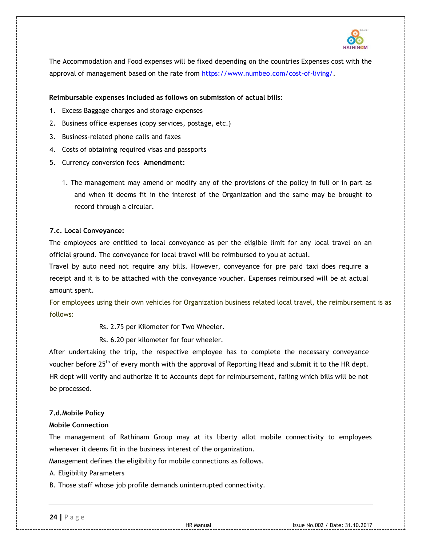

The Accommodation and Food expenses will be fixed depending on the countries Expenses cost with the approval of management based on the rate from [https://www.numbeo.com/cost-of-living/.](https://www.numbeo.com/cost-of-living/)

## **Reimbursable expenses included as follows on submission of actual bills:**

- 1. Excess Baggage charges and storage expenses
- 2. Business office expenses (copy services, postage, etc.)
- 3. Business-related phone calls and faxes
- 4. Costs of obtaining required visas and passports
- 5. Currency conversion fees **Amendment:** 
	- 1. The management may amend or modify any of the provisions of the policy in full or in part as and when it deems fit in the interest of the Organization and the same may be brought to record through a circular.

## **7.c. Local Conveyance:**

The employees are entitled to local conveyance as per the eligible limit for any local travel on an official ground. The conveyance for local travel will be reimbursed to you at actual.

Travel by auto need not require any bills. However, conveyance for pre paid taxi does require a receipt and it is to be attached with the conveyance voucher. Expenses reimbursed will be at actual amount spent.

For employees using their own vehicles for Organization business related local travel, the reimbursement is as follows:

Rs. 2.75 per Kilometer for Two Wheeler.

Rs. 6.20 per kilometer for four wheeler.

After undertaking the trip, the respective employee has to complete the necessary conveyance voucher before 25<sup>th</sup> of every month with the approval of Reporting Head and submit it to the HR dept. HR dept will verify and authorize it to Accounts dept for reimbursement, failing which bills will be not be processed.

## **7.d.Mobile Policy**

## **Mobile Connection**

The management of Rathinam Group may at its liberty allot mobile connectivity to employees whenever it deems fit in the business interest of the organization.

Management defines the eligibility for mobile connections as follows.

A. Eligibility Parameters

B. Those staff whose job profile demands uninterrupted connectivity.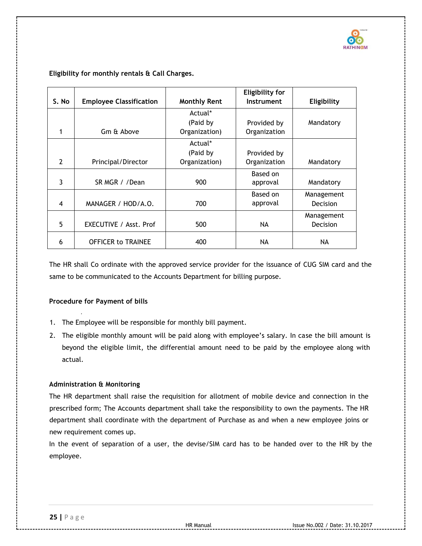

|                |                                |                     | <b>Eligibility for</b> |                 |
|----------------|--------------------------------|---------------------|------------------------|-----------------|
| S. No          | <b>Employee Classification</b> | <b>Monthly Rent</b> | Instrument             | Eligibility     |
|                |                                | Actual*             |                        |                 |
|                |                                | (Paid by            | Provided by            | Mandatory       |
| 1              | Gm & Above                     | Organization)       | Organization           |                 |
|                |                                | Actual*             |                        |                 |
|                |                                | (Paid by            | Provided by            |                 |
| $\overline{2}$ | Principal/Director             | Organization)       | Organization           | Mandatory       |
|                |                                |                     | Based on               |                 |
| 3              | SR MGR / /Dean                 | 900                 | approval               | Mandatory       |
|                |                                |                     | Based on               | Management      |
| $\overline{4}$ | MANAGER / HOD/A.O.             | 700                 | approval               | <b>Decision</b> |
|                |                                |                     |                        | Management      |
| 5              | EXECUTIVE / Asst. Prof         | 500                 | NA.                    | <b>Decision</b> |
| 6              | <b>OFFICER to TRAINEE</b>      | 400                 | NA.                    | NA              |

## **Eligibility for monthly rentals & Call Charges.**

The HR shall Co ordinate with the approved service provider for the issuance of CUG SIM card and the same to be communicated to the Accounts Department for billing purpose.

## **Procedure for Payment of bills**

- 1. The Employee will be responsible for monthly bill payment.
- 2. The eligible monthly amount will be paid along with employee's salary. In case the bill amount is beyond the eligible limit, the differential amount need to be paid by the employee along with actual.

## **Administration & Monitoring**

The HR department shall raise the requisition for allotment of mobile device and connection in the prescribed form; The Accounts department shall take the responsibility to own the payments. The HR department shall coordinate with the department of Purchase as and when a new employee joins or new requirement comes up.

In the event of separation of a user, the devise/SIM card has to be handed over to the HR by the employee.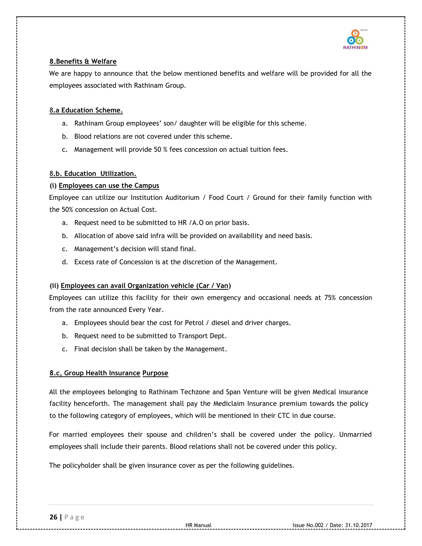

# **8.Benefits & Welfare**

We are happy to announce that the below mentioned benefits and welfare will be provided for all the employees associated with Rathinam Group.

## 8**.a Education Scheme.**

- a. Rathinam Group employees' son/ daughter will be eligible for this scheme.
- b. Blood relations are not covered under this scheme.
- c. Management will provide 50 % fees concession on actual tuition fees.

## 8**.b. Education Utilization.**

## **(i) Employees can use the Campus**

Employee can utilize our Institution Auditorium / Food Court / Ground for their family function with the 50% concession on Actual Cost.

- a. Request need to be submitted to HR /A.O on prior basis.
- b. Allocation of above said infra will be provided on availability and need basis.
- c. Management's decision will stand final.
- d. Excess rate of Concession is at the discretion of the Management.

## **(ii) Employees can avail Organization vehicle (Car / Van)**

Employees can utilize this facility for their own emergency and occasional needs at 75% concession from the rate announced Every Year.

- a. Employees should bear the cost for Petrol / diesel and driver charges.
- b. Request need to be submitted to Transport Dept.
- c. Final decision shall be taken by the Management.

## **8.c, Group Health Insurance Purpose**

All the employees belonging to Rathinam Techzone and Span Venture will be given Medical insurance facility henceforth. The management shall pay the Mediclaim Insurance premium towards the policy to the following category of employees, which will be mentioned in their CTC in due course.

For married employees their spouse and children's shall be covered under the policy. Unmarried employees shall include their parents. Blood relations shall not be covered under this policy.

The policyholder shall be given insurance cover as per the following guidelines.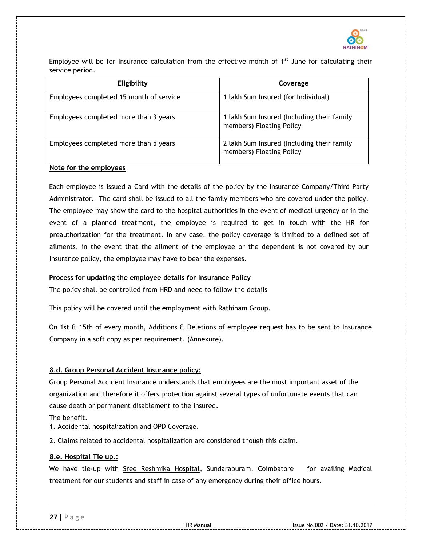

Employee will be for Insurance calculation from the effective month of  $1<sup>st</sup>$  June for calculating their service period.

| Eligibility                             | Coverage                                                               |
|-----------------------------------------|------------------------------------------------------------------------|
| Employees completed 15 month of service | 1 lakh Sum Insured (for Individual)                                    |
| Employees completed more than 3 years   | 1 lakh Sum Insured (Including their family<br>members) Floating Policy |
| Employees completed more than 5 years   | 2 lakh Sum Insured (Including their family<br>members) Floating Policy |

# **Note for the employees**

Each employee is issued a Card with the details of the policy by the Insurance Company/Third Party Administrator. The card shall be issued to all the family members who are covered under the policy. The employee may show the card to the hospital authorities in the event of medical urgency or in the event of a planned treatment, the employee is required to get in touch with the HR for preauthorization for the treatment. In any case, the policy coverage is limited to a defined set of ailments, in the event that the ailment of the employee or the dependent is not covered by our Insurance policy, the employee may have to bear the expenses.

## **Process for updating the employee details for Insurance Policy**

The policy shall be controlled from HRD and need to follow the details

This policy will be covered until the employment with Rathinam Group.

On 1st & 15th of every month, Additions & Deletions of employee request has to be sent to Insurance Company in a soft copy as per requirement. (Annexure).

# **8.d. Group Personal Accident Insurance policy:**

Group Personal Accident Insurance understands that employees are the most important asset of the organization and therefore it offers protection against several types of unfortunate events that can cause death or permanent disablement to the insured.

The benefit.

1. Accidental hospitalization and OPD Coverage.

2. Claims related to accidental hospitalization are considered though this claim.

# **8.e. Hospital Tie up.:**

We have tie-up with Sree Reshmika Hospital, Sundarapuram, Coimbatore for availing Medical treatment for our students and staff in case of any emergency during their office hours.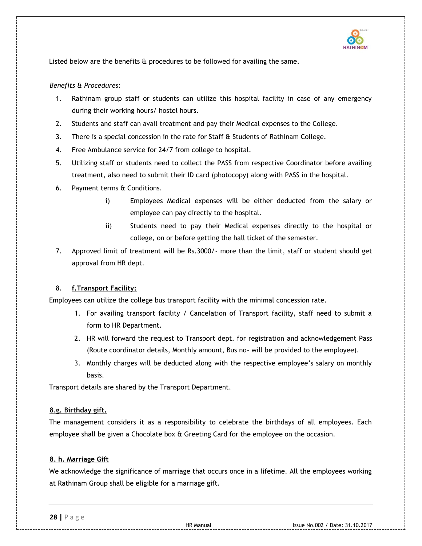

Listed below are the benefits & procedures to be followed for availing the same.

## *Benefits & Procedures*:

- 1. Rathinam group staff or students can utilize this hospital facility in case of any emergency during their working hours/ hostel hours.
- 2. Students and staff can avail treatment and pay their Medical expenses to the College.
- 3. There is a special concession in the rate for Staff & Students of Rathinam College.
- 4. Free Ambulance service for 24/7 from college to hospital.
- 5. Utilizing staff or students need to collect the PASS from respective Coordinator before availing treatment, also need to submit their ID card (photocopy) along with PASS in the hospital.
- 6. Payment terms & Conditions.
	- i) Employees Medical expenses will be either deducted from the salary or employee can pay directly to the hospital.
	- ii) Students need to pay their Medical expenses directly to the hospital or college, on or before getting the hall ticket of the semester.
- 7. Approved limit of treatment will be Rs.3000/- more than the limit, staff or student should get approval from HR dept.

# 8. **f.Transport Facility:**

Employees can utilize the college bus transport facility with the minimal concession rate.

- 1. For availing transport facility / Cancelation of Transport facility, staff need to submit a form to HR Department.
- 2. HR will forward the request to Transport dept. for registration and acknowledgement Pass (Route coordinator details, Monthly amount, Bus no- will be provided to the employee).
- 3. Monthly charges will be deducted along with the respective employee's salary on monthly basis.

Transport details are shared by the Transport Department.

## **8.g. Birthday gift.**

The management considers it as a responsibility to celebrate the birthdays of all employees. Each employee shall be given a Chocolate box & Greeting Card for the employee on the occasion.

# **8. h. Marriage Gift**

We acknowledge the significance of marriage that occurs once in a lifetime. All the employees working at Rathinam Group shall be eligible for a marriage gift.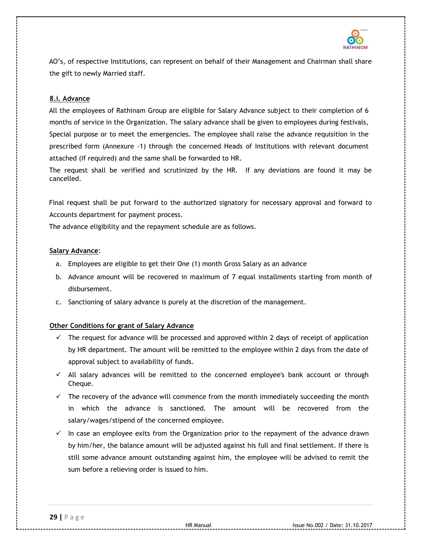

AO's, of respective Institutions, can represent on behalf of their Management and Chairman shall share the gift to newly Married staff.

## **8.i. Advance**

All the employees of Rathinam Group are eligible for Salary Advance subject to their completion of 6 months of service in the Organization. The salary advance shall be given to employees during festivals, Special purpose or to meet the emergencies. The employee shall raise the advance requisition in the prescribed form (Annexure -1) through the concerned Heads of Institutions with relevant document attached (If required) and the same shall be forwarded to HR.

The request shall be verified and scrutinized by the HR. If any deviations are found it may be cancelled.

Final request shall be put forward to the authorized signatory for necessary approval and forward to Accounts department for payment process.

The advance eligibility and the repayment schedule are as follows.

## **Salary Advance**:

- a. Employees are eligible to get their One (1) month Gross Salary as an advance
- b. Advance amount will be recovered in maximum of 7 equal installments starting from month of disbursement.
- c. Sanctioning of salary advance is purely at the discretion of the management.

# **Other Conditions for grant of Salary Advance**

- $\checkmark$  The request for advance will be processed and approved within 2 days of receipt of application by HR department. The amount will be remitted to the employee within 2 days from the date of approval subject to availability of funds.
- $\checkmark$  All salary advances will be remitted to the concerned employee's bank account or through Cheque.
- $\checkmark$  The recovery of the advance will commence from the month immediately succeeding the month in which the advance is sanctioned. The amount will be recovered from the salary/wages/stipend of the concerned employee.
- $\checkmark$  In case an employee exits from the Organization prior to the repayment of the advance drawn by him/her, the balance amount will be adjusted against his full and final settlement. If there is still some advance amount outstanding against him, the employee will be advised to remit the sum before a relieving order is issued to him.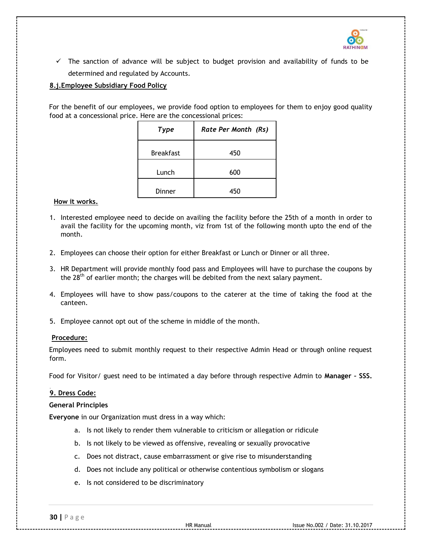

 $\checkmark$  The sanction of advance will be subject to budget provision and availability of funds to be determined and regulated by Accounts.

# **8.j.Employee Subsidiary Food Policy**

For the benefit of our employees, we provide food option to employees for them to enjoy good quality food at a concessional price. Here are the concessional prices:

| Type             | Rate Per Month (Rs) |
|------------------|---------------------|
| <b>Breakfast</b> | 450                 |
| Lunch            | 600                 |
| Dinner           | 450                 |

#### **How it works.**

- 1. Interested employee need to decide on availing the facility before the 25th of a month in order to avail the facility for the upcoming month, viz from 1st of the following month upto the end of the month.
- 2. Employees can choose their option for either Breakfast or Lunch or Dinner or all three.
- 3. HR Department will provide monthly food pass and Employees will have to purchase the coupons by the  $28<sup>th</sup>$  of earlier month; the charges will be debited from the next salary payment.
- 4. Employees will have to show pass/coupons to the caterer at the time of taking the food at the canteen.
- 5. Employee cannot opt out of the scheme in middle of the month.

## **Procedure:**

Employees need to submit monthly request to their respective Admin Head or through online request form.

Food for Visitor/ guest need to be intimated a day before through respective Admin to **Manager – SSS.** 

## **9. Dress Code:**

#### **General Principles**

**Everyone** in our Organization must dress in a way which:

- a. Is not likely to render them vulnerable to criticism or allegation or ridicule
- b. Is not likely to be viewed as offensive, revealing or sexually provocative
- c. Does not distract, cause embarrassment or give rise to misunderstanding
- d. Does not include any political or otherwise contentious symbolism or slogans
- e. Is not considered to be discriminatory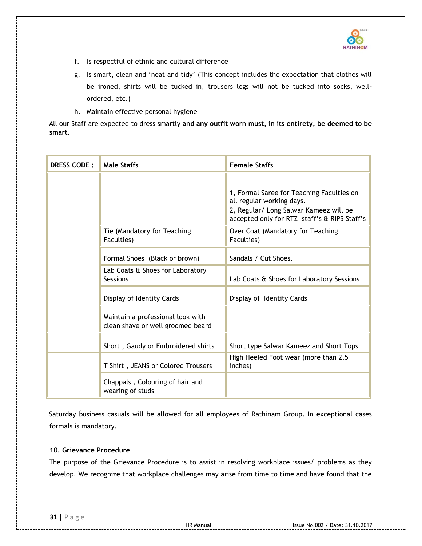

- f. Is respectful of ethnic and cultural difference
- g. Is smart, clean and 'neat and tidy' (This concept includes the expectation that clothes will be ironed, shirts will be tucked in, trousers legs will not be tucked into socks, wellordered, etc.)
- h. Maintain effective personal hygiene

All our Staff are expected to dress smartly **and any outfit worn must, in its entirety, be deemed to be smart.**

| <b>DRESS CODE:</b> | <b>Male Staffs</b>                                                     | <b>Female Staffs</b>                                                                                                                                             |
|--------------------|------------------------------------------------------------------------|------------------------------------------------------------------------------------------------------------------------------------------------------------------|
|                    |                                                                        | 1, Formal Saree for Teaching Faculties on<br>all regular working days.<br>2, Regular/ Long Salwar Kameez will be<br>accepted only for RTZ staff's & RIPS Staff's |
|                    | Tie (Mandatory for Teaching<br>Faculties)                              | Over Coat (Mandatory for Teaching<br>Faculties)                                                                                                                  |
|                    | Formal Shoes (Black or brown)                                          | Sandals / Cut Shoes.                                                                                                                                             |
|                    | Lab Coats & Shoes for Laboratory<br>Sessions                           | Lab Coats & Shoes for Laboratory Sessions                                                                                                                        |
|                    | Display of Identity Cards                                              | Display of Identity Cards                                                                                                                                        |
|                    | Maintain a professional look with<br>clean shave or well groomed beard |                                                                                                                                                                  |
|                    | Short, Gaudy or Embroidered shirts                                     | Short type Salwar Kameez and Short Tops                                                                                                                          |
|                    | T Shirt, JEANS or Colored Trousers                                     | High Heeled Foot wear (more than 2.5<br>inches)                                                                                                                  |
|                    | Chappals, Colouring of hair and<br>wearing of studs                    |                                                                                                                                                                  |

Saturday business casuals will be allowed for all employees of Rathinam Group. In exceptional cases formals is mandatory.

# **10. Grievance Procedure**

The purpose of the Grievance Procedure is to assist in resolving workplace issues/ problems as they develop. We recognize that workplace challenges may arise from time to time and have found that the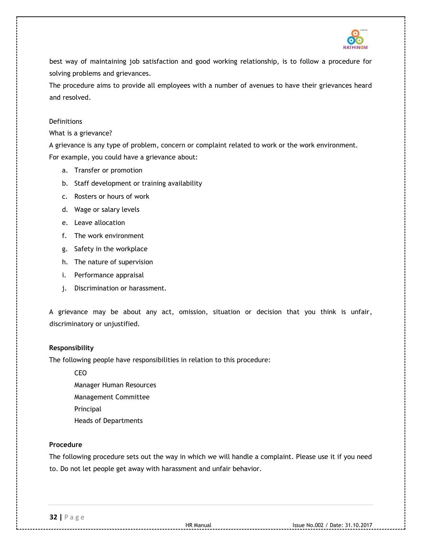

best way of maintaining job satisfaction and good working relationship, is to follow a procedure for solving problems and grievances.

The procedure aims to provide all employees with a number of avenues to have their grievances heard and resolved.

## Definitions

What is a grievance?

A grievance is any type of problem, concern or complaint related to work or the work environment. For example, you could have a grievance about:

- a. Transfer or promotion
- b. Staff development or training availability
- c. Rosters or hours of work
- d. Wage or salary levels
- e. Leave allocation
- f. The work environment
- g. Safety in the workplace
- h. The nature of supervision
- i. Performance appraisal
- j. Discrimination or harassment.

A grievance may be about any act, omission, situation or decision that you think is unfair, discriminatory or unjustified.

## **Responsibility**

The following people have responsibilities in relation to this procedure:

CEO Manager Human Resources Management Committee Principal Heads of Departments

# **Procedure**

The following procedure sets out the way in which we will handle a complaint. Please use it if you need to. Do not let people get away with harassment and unfair behavior.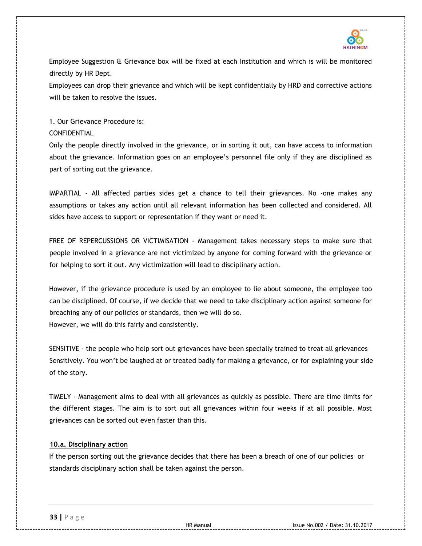

Employee Suggestion & Grievance box will be fixed at each Institution and which is will be monitored directly by HR Dept.

Employees can drop their grievance and which will be kept confidentially by HRD and corrective actions will be taken to resolve the issues.

1. Our Grievance Procedure is: CONFIDENTIAL

Only the people directly involved in the grievance, or in sorting it out, can have access to information about the grievance. Information goes on an employee's personnel file only if they are disciplined as part of sorting out the grievance.

IMPARTIAL - All affected parties sides get a chance to tell their grievances. No -one makes any assumptions or takes any action until all relevant information has been collected and considered. All sides have access to support or representation if they want or need it.

FREE OF REPERCUSSIONS OR VICTIMISATION - Management takes necessary steps to make sure that people involved in a grievance are not victimized by anyone for coming forward with the grievance or for helping to sort it out. Any victimization will lead to disciplinary action.

However, if the grievance procedure is used by an employee to lie about someone, the employee too can be disciplined. Of course, if we decide that we need to take disciplinary action against someone for breaching any of our policies or standards, then we will do so. However, we will do this fairly and consistently.

SENSITIVE - the people who help sort out grievances have been specially trained to treat all grievances Sensitively. You won't be laughed at or treated badly for making a grievance, or for explaining your side of the story.

TIMELY - Management aims to deal with all grievances as quickly as possible. There are time limits for the different stages. The aim is to sort out all grievances within four weeks if at all possible. Most grievances can be sorted out even faster than this.

# **10.a. Disciplinary action**

If the person sorting out the grievance decides that there has been a breach of one of our policies or standards disciplinary action shall be taken against the person.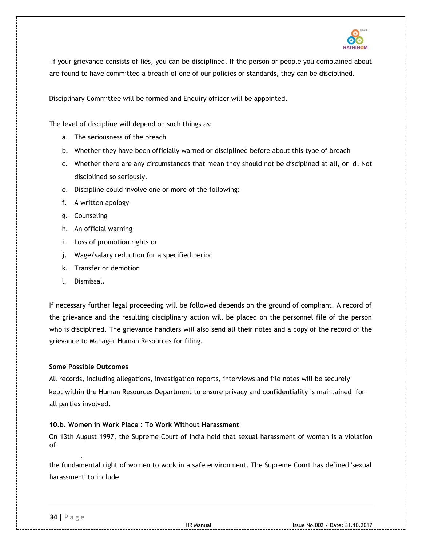

If your grievance consists of lies, you can be disciplined. If the person or people you complained about are found to have committed a breach of one of our policies or standards, they can be disciplined.

Disciplinary Committee will be formed and Enquiry officer will be appointed.

The level of discipline will depend on such things as:

- a. The seriousness of the breach
- b. Whether they have been officially warned or disciplined before about this type of breach
- c. Whether there are any circumstances that mean they should not be disciplined at all, or d. Not disciplined so seriously.
- e. Discipline could involve one or more of the following:
- f. A written apology
- g. Counseling
- h. An official warning
- i. Loss of promotion rights or
- j. Wage/salary reduction for a specified period
- k. Transfer or demotion
- l. Dismissal.

If necessary further legal proceeding will be followed depends on the ground of compliant. A record of the grievance and the resulting disciplinary action will be placed on the personnel file of the person who is disciplined. The grievance handlers will also send all their notes and a copy of the record of the grievance to Manager Human Resources for filing.

# **Some Possible Outcomes**

All records, including allegations, investigation reports, interviews and file notes will be securely kept within the Human Resources Department to ensure privacy and confidentiality is maintained for all parties involved.

# **10.b. Women in Work Place : To Work Without Harassment**

On 13th August 1997, the Supreme Court of India held that sexual harassment of women is a violation of

the fundamental right of women to work in a safe environment. The Supreme Court has defined 'sexual harassment' to include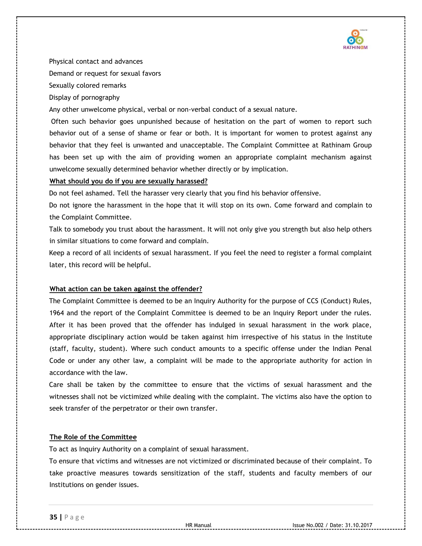

Physical contact and advances Demand or request for sexual favors Sexually colored remarks Display of pornography

Any other unwelcome physical, verbal or non-verbal conduct of a sexual nature.

Often such behavior goes unpunished because of hesitation on the part of women to report such behavior out of a sense of shame or fear or both. It is important for women to protest against any behavior that they feel is unwanted and unacceptable. The Complaint Committee at Rathinam Group has been set up with the aim of providing women an appropriate complaint mechanism against unwelcome sexually determined behavior whether directly or by implication.

## **What should you do if you are sexually harassed?**

Do not feel ashamed. Tell the harasser very clearly that you find his behavior offensive.

Do not ignore the harassment in the hope that it will stop on its own. Come forward and complain to the Complaint Committee.

Talk to somebody you trust about the harassment. It will not only give you strength but also help others in similar situations to come forward and complain.

Keep a record of all incidents of sexual harassment. If you feel the need to register a formal complaint later, this record will be helpful.

## **What action can be taken against the offender?**

The Complaint Committee is deemed to be an Inquiry Authority for the purpose of CCS (Conduct) Rules, 1964 and the report of the Complaint Committee is deemed to be an Inquiry Report under the rules. After it has been proved that the offender has indulged in sexual harassment in the work place, appropriate disciplinary action would be taken against him irrespective of his status in the Institute (staff, faculty, student). Where such conduct amounts to a specific offense under the Indian Penal Code or under any other law, a complaint will be made to the appropriate authority for action in accordance with the law.

Care shall be taken by the committee to ensure that the victims of sexual harassment and the witnesses shall not be victimized while dealing with the complaint. The victims also have the option to seek transfer of the perpetrator or their own transfer.

## **The Role of the Committee**

To act as Inquiry Authority on a complaint of sexual harassment.

To ensure that victims and witnesses are not victimized or discriminated because of their complaint. To take proactive measures towards sensitization of the staff, students and faculty members of our Institutions on gender issues.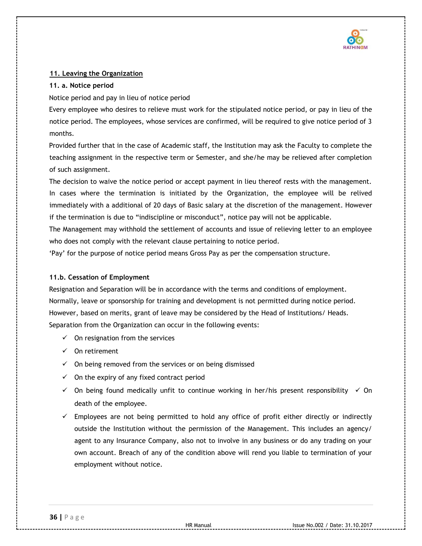

# **11. Leaving the Organization**

## **11. a. Notice period**

Notice period and pay in lieu of notice period

Every employee who desires to relieve must work for the stipulated notice period, or pay in lieu of the notice period. The employees, whose services are confirmed, will be required to give notice period of 3 months.

Provided further that in the case of Academic staff, the Institution may ask the Faculty to complete the teaching assignment in the respective term or Semester, and she/he may be relieved after completion of such assignment.

The decision to waive the notice period or accept payment in lieu thereof rests with the management. In cases where the termination is initiated by the Organization, the employee will be relived immediately with a additional of 20 days of Basic salary at the discretion of the management. However if the termination is due to "indiscipline or misconduct", notice pay will not be applicable.

The Management may withhold the settlement of accounts and issue of relieving letter to an employee who does not comply with the relevant clause pertaining to notice period.

'Pay' for the purpose of notice period means Gross Pay as per the compensation structure.

# **11.b. Cessation of Employment**

Resignation and Separation will be in accordance with the terms and conditions of employment. Normally, leave or sponsorship for training and development is not permitted during notice period. However, based on merits, grant of leave may be considered by the Head of Institutions/ Heads. Separation from the Organization can occur in the following events:

- $\checkmark$  On resignation from the services
- $\checkmark$  On retirement
- $\checkmark$  On being removed from the services or on being dismissed
- $\checkmark$  On the expiry of any fixed contract period
- $\checkmark$  On being found medically unfit to continue working in her/his present responsibility  $\checkmark$  On death of the employee.
- $\checkmark$  Employees are not being permitted to hold any office of profit either directly or indirectly outside the Institution without the permission of the Management. This includes an agency/ agent to any Insurance Company, also not to involve in any business or do any trading on your own account. Breach of any of the condition above will rend you liable to termination of your employment without notice.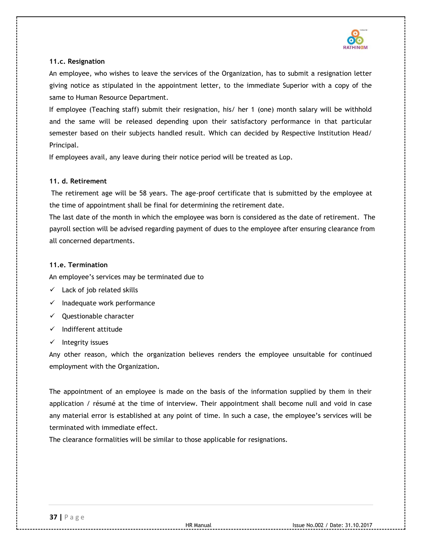

## **11.c. Resignation**

An employee, who wishes to leave the services of the Organization, has to submit a resignation letter giving notice as stipulated in the appointment letter, to the immediate Superior with a copy of the same to Human Resource Department.

If employee (Teaching staff) submit their resignation, his/ her 1 (one) month salary will be withhold and the same will be released depending upon their satisfactory performance in that particular semester based on their subjects handled result. Which can decided by Respective Institution Head/ Principal.

If employees avail, any leave during their notice period will be treated as Lop.

# **11. d. Retirement**

The retirement age will be 58 years. The age-proof certificate that is submitted by the employee at the time of appointment shall be final for determining the retirement date.

The last date of the month in which the employee was born is considered as the date of retirement. The payroll section will be advised regarding payment of dues to the employee after ensuring clearance from all concerned departments.

# **11.e. Termination**

An employee's services may be terminated due to

- $\checkmark$  Lack of job related skills
- $\checkmark$  Inadequate work performance
- $\checkmark$  Ouestionable character
- $\checkmark$  Indifferent attitude
- $\checkmark$  Integrity issues

Any other reason, which the organization believes renders the employee unsuitable for continued employment with the Organization**.** 

The appointment of an employee is made on the basis of the information supplied by them in their application / résumé at the time of interview. Their appointment shall become null and void in case any material error is established at any point of time. In such a case, the employee's services will be terminated with immediate effect.

The clearance formalities will be similar to those applicable for resignations.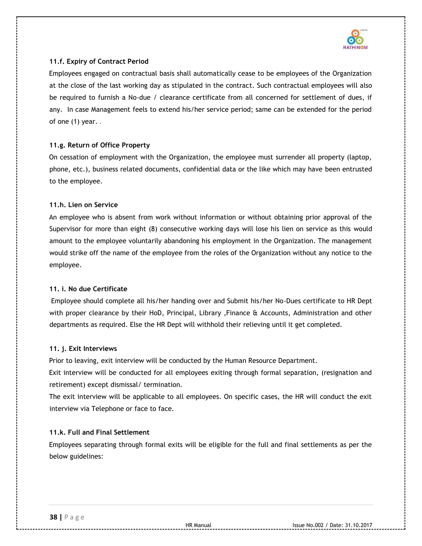

# **11.f. Expiry of Contract Period**

Employees engaged on contractual basis shall automatically cease to be employees of the Organization at the close of the last working day as stipulated in the contract. Such contractual employees will also be required to furnish a No-due / clearance certificate from all concerned for settlement of dues, if any. In case Management feels to extend his/her service period; same can be extended for the period of one  $(1)$  year...

# **11.g. Return of Office Property**

On cessation of employment with the Organization, the employee must surrender all property (laptop, phone, etc.), business related documents, confidential data or the like which may have been entrusted to the employee.

# **11.h. Lien on Service**

An employee who is absent from work without information or without obtaining prior approval of the Supervisor for more than eight (8) consecutive working days will lose his lien on service as this would amount to the employee voluntarily abandoning his employment in the Organization. The management would strike off the name of the employee from the roles of the Organization without any notice to the employee.

# **11. i. No due Certificate**

Employee should complete all his/her handing over and Submit his/her No-Dues certificate to HR Dept with proper clearance by their HoD, Principal, Library ,Finance & Accounts, Administration and other departments as required. Else the HR Dept will withhold their relieving until it get completed.

# **11. j. Exit Interviews**

Prior to leaving, exit interview will be conducted by the Human Resource Department.

Exit interview will be conducted for all employees exiting through formal separation, (resignation and retirement) except dismissal/ termination.

The exit interview will be applicable to all employees. On specific cases, the HR will conduct the exit interview via Telephone or face to face.

# **11.k. Full and Final Settlement**

Employees separating through formal exits will be eligible for the full and final settlements as per the below guidelines: